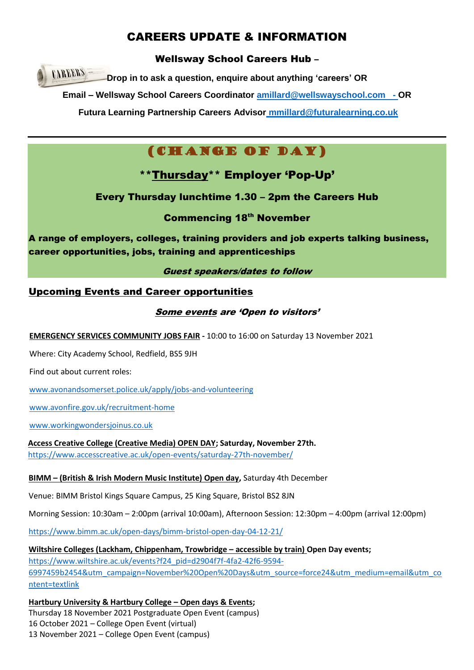# CAREERS UPDATE & INFORMATION

Wellsway School Careers Hub –

**CAREERS Drop in to ask a question, enquire about anything 'careers' OR**

**Email – Wellsway School Careers Coordinator [amillard@wellswayschool.com](mailto:amillard@wellswayschool.com) - OR** 

**Futura Learning Partnership Careers Advisor [mmillard@futuralearning.co.uk](mailto:mmillard@futuralearning.co.uk)**

# (CHANGE OF DAY)

\*\*Thursday\*\* Employer 'Pop-Up'

# Every Thursday lunchtime 1.30 – 2pm the Careers Hub

**Commencing 18th November** 

A range of employers, colleges, training providers and job experts talking business, career opportunities, jobs, training and apprenticeships

Guest speakers/dates to follow

# Upcoming Events and Career opportunities

### Some events are 'Open to visitors'

**EMERGENCY SERVICES COMMUNITY JOBS FAIR -** 10:00 to 16:00 on Saturday 13 November 2021

Where: City Academy School, Redfield, BS5 9JH

Find out about current roles:

[www.avonandsomerset.police.uk/apply/jobs-and-volunteering](http://www.avonandsomerset.police.uk/apply/jobs-and-volunteering)

[www.avonfire.gov.uk/recruitment-home](http://www.avonfire.gov.uk/recruitment-home)

[www.workingwondersjoinus.co.uk](http://www.workingwondersjoinus.co.uk/)

**Access Creative College (Creative Media) OPEN DAY; Saturday, November 27th.**  <https://www.accesscreative.ac.uk/open-events/saturday-27th-november/>

### **BIMM – (British & Irish Modern Music Institute) Open day,** Saturday 4th December

Venue: BIMM Bristol Kings Square Campus, 25 King Square, Bristol BS2 8JN

Morning Session: 10:30am – 2:00pm (arrival 10:00am), Afternoon Session: 12:30pm – 4:00pm (arrival 12:00pm)

<https://www.bimm.ac.uk/open-days/bimm-bristol-open-day-04-12-21/>

**Wiltshire Colleges (Lackham, Chippenham, Trowbridge – accessible by train) Open Day events;**  [https://www.wiltshire.ac.uk/events?f24\\_pid=d2904f7f-4fa2-42f6-9594-](https://www.wiltshire.ac.uk/events?f24_pid=d2904f7f-4fa2-42f6-9594-6997459b2454&utm_campaign=November%20Open%20Days&utm_source=force24&utm_medium=email&utm_content=textlink) [6997459b2454&utm\\_campaign=November%20Open%20Days&utm\\_source=force24&utm\\_medium=email&utm\\_co](https://www.wiltshire.ac.uk/events?f24_pid=d2904f7f-4fa2-42f6-9594-6997459b2454&utm_campaign=November%20Open%20Days&utm_source=force24&utm_medium=email&utm_content=textlink) [ntent=textlink](https://www.wiltshire.ac.uk/events?f24_pid=d2904f7f-4fa2-42f6-9594-6997459b2454&utm_campaign=November%20Open%20Days&utm_source=force24&utm_medium=email&utm_content=textlink)

**Hartbury University & Hartbury College – Open days & Events;**  Thursday 18 November 2021 Postgraduate Open Event (campus) 16 October 2021 – College Open Event (virtual) 13 November 2021 – College Open Event (campus)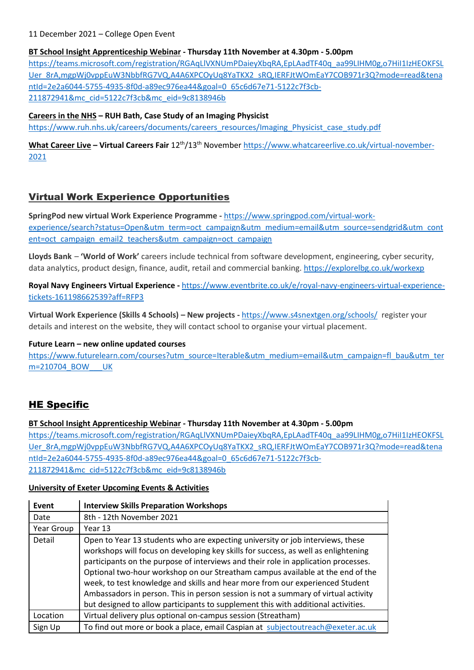#### 11 December 2021 – College Open Event

#### **BT School Insight Apprenticeship Webinar - Thursday 11th November at 4.30pm - 5.00pm**

[https://teams.microsoft.com/registration/RGAqLlVXNUmPDaieyXbqRA,EpLAadTF40q\\_aa99LIHM0g,o7HiI1IzHEOKFSL](https://teams.microsoft.com/registration/RGAqLlVXNUmPDaieyXbqRA,EpLAadTF40q_aa99LIHM0g,o7HiI1IzHEOKFSLUer_8rA,mgpWj0vppEuW3NbbfRG7VQ,A4A6XPCOyUq8YaTKX2_sRQ,IERFJtWOmEaY7COB971r3Q?mode=read&tenantId=2e2a6044-5755-4935-8f0d-a89ec976ea44&goal=0_65c6d67e71-5122c7f3cb-211872941&mc_cid=5122c7f3cb&mc_eid=9c8138946b) [Uer\\_8rA,mgpWj0vppEuW3NbbfRG7VQ,A4A6XPCOyUq8YaTKX2\\_sRQ,IERFJtWOmEaY7COB971r3Q?mode=read&tena](https://teams.microsoft.com/registration/RGAqLlVXNUmPDaieyXbqRA,EpLAadTF40q_aa99LIHM0g,o7HiI1IzHEOKFSLUer_8rA,mgpWj0vppEuW3NbbfRG7VQ,A4A6XPCOyUq8YaTKX2_sRQ,IERFJtWOmEaY7COB971r3Q?mode=read&tenantId=2e2a6044-5755-4935-8f0d-a89ec976ea44&goal=0_65c6d67e71-5122c7f3cb-211872941&mc_cid=5122c7f3cb&mc_eid=9c8138946b) [ntId=2e2a6044-5755-4935-8f0d-a89ec976ea44&goal=0\\_65c6d67e71-5122c7f3cb-](https://teams.microsoft.com/registration/RGAqLlVXNUmPDaieyXbqRA,EpLAadTF40q_aa99LIHM0g,o7HiI1IzHEOKFSLUer_8rA,mgpWj0vppEuW3NbbfRG7VQ,A4A6XPCOyUq8YaTKX2_sRQ,IERFJtWOmEaY7COB971r3Q?mode=read&tenantId=2e2a6044-5755-4935-8f0d-a89ec976ea44&goal=0_65c6d67e71-5122c7f3cb-211872941&mc_cid=5122c7f3cb&mc_eid=9c8138946b)[211872941&mc\\_cid=5122c7f3cb&mc\\_eid=9c8138946b](https://teams.microsoft.com/registration/RGAqLlVXNUmPDaieyXbqRA,EpLAadTF40q_aa99LIHM0g,o7HiI1IzHEOKFSLUer_8rA,mgpWj0vppEuW3NbbfRG7VQ,A4A6XPCOyUq8YaTKX2_sRQ,IERFJtWOmEaY7COB971r3Q?mode=read&tenantId=2e2a6044-5755-4935-8f0d-a89ec976ea44&goal=0_65c6d67e71-5122c7f3cb-211872941&mc_cid=5122c7f3cb&mc_eid=9c8138946b)

#### **Careers in the NHS – RUH Bath, Case Study of an Imaging Physicist**

[https://www.ruh.nhs.uk/careers/documents/careers\\_resources/Imaging\\_Physicist\\_case\\_study.pdf](https://www.ruh.nhs.uk/careers/documents/careers_resources/Imaging_Physicist_case_study.pdf)

**What Career Live – Virtual Careers Fair** 12th/13th Novembe[r https://www.whatcareerlive.co.uk/virtual-november-](https://www.whatcareerlive.co.uk/virtual-november-2021)[2021](https://www.whatcareerlive.co.uk/virtual-november-2021)

### Virtual Work Experience Opportunities

**SpringPod new virtual Work Experience Programme -** [https://www.springpod.com/virtual-work](https://www.springpod.com/virtual-work-experience/search?status=Open&utm_term=oct_campaign&utm_medium=email&utm_source=sendgrid&utm_content=oct_campaign_email2_teachers&utm_campaign=oct_campaign)[experience/search?status=Open&utm\\_term=oct\\_campaign&utm\\_medium=email&utm\\_source=sendgrid&utm\\_cont](https://www.springpod.com/virtual-work-experience/search?status=Open&utm_term=oct_campaign&utm_medium=email&utm_source=sendgrid&utm_content=oct_campaign_email2_teachers&utm_campaign=oct_campaign) [ent=oct\\_campaign\\_email2\\_teachers&utm\\_campaign=oct\\_campaign](https://www.springpod.com/virtual-work-experience/search?status=Open&utm_term=oct_campaign&utm_medium=email&utm_source=sendgrid&utm_content=oct_campaign_email2_teachers&utm_campaign=oct_campaign)

**Lloyds Bank** – **'World of Work'** careers include technical from software development, engineering, cyber security, data analytics, product design, finance, audit, retail and commercial banking. <https://explorelbg.co.uk/workexp>

**Royal Navy Engineers Virtual Experience -** [https://www.eventbrite.co.uk/e/royal-navy-engineers-virtual-experience](https://www.eventbrite.co.uk/e/royal-navy-engineers-virtual-experience-tickets-161198662539?aff=RFP3)[tickets-161198662539?aff=RFP3](https://www.eventbrite.co.uk/e/royal-navy-engineers-virtual-experience-tickets-161198662539?aff=RFP3)

**Virtual Work Experience (Skills 4 Schools) – New projects -** <https://www.s4snextgen.org/schools/>register your details and interest on the website, they will contact school to organise your virtual placement.

#### **Future Learn – new online updated courses**

[https://www.futurelearn.com/courses?utm\\_source=Iterable&utm\\_medium=email&utm\\_campaign=fl\\_bau&utm\\_ter](https://www.futurelearn.com/courses?utm_source=Iterable&utm_medium=email&utm_campaign=fl_bau&utm_term=210704_BOW___UK) [m=210704\\_BOW\\_\\_\\_UK](https://www.futurelearn.com/courses?utm_source=Iterable&utm_medium=email&utm_campaign=fl_bau&utm_term=210704_BOW___UK)

### HE Specific

#### **BT School Insight Apprenticeship Webinar - Thursday 11th November at 4.30pm - 5.00pm**

[https://teams.microsoft.com/registration/RGAqLlVXNUmPDaieyXbqRA,EpLAadTF40q\\_aa99LIHM0g,o7HiI1IzHEOKFSL](https://teams.microsoft.com/registration/RGAqLlVXNUmPDaieyXbqRA,EpLAadTF40q_aa99LIHM0g,o7HiI1IzHEOKFSLUer_8rA,mgpWj0vppEuW3NbbfRG7VQ,A4A6XPCOyUq8YaTKX2_sRQ,IERFJtWOmEaY7COB971r3Q?mode=read&tenantId=2e2a6044-5755-4935-8f0d-a89ec976ea44&goal=0_65c6d67e71-5122c7f3cb-211872941&mc_cid=5122c7f3cb&mc_eid=9c8138946b) [Uer\\_8rA,mgpWj0vppEuW3NbbfRG7VQ,A4A6XPCOyUq8YaTKX2\\_sRQ,IERFJtWOmEaY7COB971r3Q?mode=read&tena](https://teams.microsoft.com/registration/RGAqLlVXNUmPDaieyXbqRA,EpLAadTF40q_aa99LIHM0g,o7HiI1IzHEOKFSLUer_8rA,mgpWj0vppEuW3NbbfRG7VQ,A4A6XPCOyUq8YaTKX2_sRQ,IERFJtWOmEaY7COB971r3Q?mode=read&tenantId=2e2a6044-5755-4935-8f0d-a89ec976ea44&goal=0_65c6d67e71-5122c7f3cb-211872941&mc_cid=5122c7f3cb&mc_eid=9c8138946b) [ntId=2e2a6044-5755-4935-8f0d-a89ec976ea44&goal=0\\_65c6d67e71-5122c7f3cb-](https://teams.microsoft.com/registration/RGAqLlVXNUmPDaieyXbqRA,EpLAadTF40q_aa99LIHM0g,o7HiI1IzHEOKFSLUer_8rA,mgpWj0vppEuW3NbbfRG7VQ,A4A6XPCOyUq8YaTKX2_sRQ,IERFJtWOmEaY7COB971r3Q?mode=read&tenantId=2e2a6044-5755-4935-8f0d-a89ec976ea44&goal=0_65c6d67e71-5122c7f3cb-211872941&mc_cid=5122c7f3cb&mc_eid=9c8138946b)[211872941&mc\\_cid=5122c7f3cb&mc\\_eid=9c8138946b](https://teams.microsoft.com/registration/RGAqLlVXNUmPDaieyXbqRA,EpLAadTF40q_aa99LIHM0g,o7HiI1IzHEOKFSLUer_8rA,mgpWj0vppEuW3NbbfRG7VQ,A4A6XPCOyUq8YaTKX2_sRQ,IERFJtWOmEaY7COB971r3Q?mode=read&tenantId=2e2a6044-5755-4935-8f0d-a89ec976ea44&goal=0_65c6d67e71-5122c7f3cb-211872941&mc_cid=5122c7f3cb&mc_eid=9c8138946b)

#### **University of Exeter Upcoming Events & Activities**

| Event      | <b>Interview Skills Preparation Workshops</b>                                                                                                                                                                                                                                                                                                                                                                                                                                                                                                                                                            |
|------------|----------------------------------------------------------------------------------------------------------------------------------------------------------------------------------------------------------------------------------------------------------------------------------------------------------------------------------------------------------------------------------------------------------------------------------------------------------------------------------------------------------------------------------------------------------------------------------------------------------|
| Date       | 8th - 12th November 2021                                                                                                                                                                                                                                                                                                                                                                                                                                                                                                                                                                                 |
| Year Group | Year 13                                                                                                                                                                                                                                                                                                                                                                                                                                                                                                                                                                                                  |
| Detail     | Open to Year 13 students who are expecting university or job interviews, these<br>workshops will focus on developing key skills for success, as well as enlightening<br>participants on the purpose of interviews and their role in application processes.<br>Optional two-hour workshop on our Streatham campus available at the end of the<br>week, to test knowledge and skills and hear more from our experienced Student<br>Ambassadors in person. This in person session is not a summary of virtual activity<br>but designed to allow participants to supplement this with additional activities. |
| Location   | Virtual delivery plus optional on-campus session (Streatham)                                                                                                                                                                                                                                                                                                                                                                                                                                                                                                                                             |
| Sign Up    | To find out more or book a place, email Caspian at subjectoutreach@exeter.ac.uk                                                                                                                                                                                                                                                                                                                                                                                                                                                                                                                          |